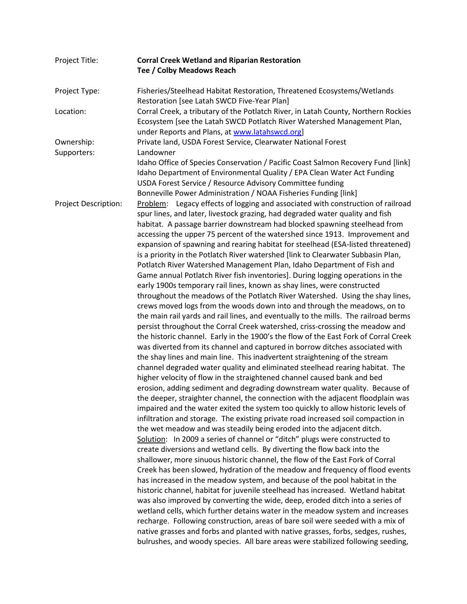| Project Title:              | <b>Corral Creek Wetland and Riparian Restoration</b>                                                                                                                                                                                                                                                                                                                                                                                                                                                                                                                                                                                                                                                                                                                                                                                                                                                                                                                                                                                                                                                                                                                                                                                                                                                                                                                                                                                                                                                                                                                                                                                                                                                                                                                                                                                                                                                                                                                                                                                                                                                                                                                                                                                                                                                                                                                                                                                                                                                                                                                                                                                                                                                                                                                                                                                        |
|-----------------------------|---------------------------------------------------------------------------------------------------------------------------------------------------------------------------------------------------------------------------------------------------------------------------------------------------------------------------------------------------------------------------------------------------------------------------------------------------------------------------------------------------------------------------------------------------------------------------------------------------------------------------------------------------------------------------------------------------------------------------------------------------------------------------------------------------------------------------------------------------------------------------------------------------------------------------------------------------------------------------------------------------------------------------------------------------------------------------------------------------------------------------------------------------------------------------------------------------------------------------------------------------------------------------------------------------------------------------------------------------------------------------------------------------------------------------------------------------------------------------------------------------------------------------------------------------------------------------------------------------------------------------------------------------------------------------------------------------------------------------------------------------------------------------------------------------------------------------------------------------------------------------------------------------------------------------------------------------------------------------------------------------------------------------------------------------------------------------------------------------------------------------------------------------------------------------------------------------------------------------------------------------------------------------------------------------------------------------------------------------------------------------------------------------------------------------------------------------------------------------------------------------------------------------------------------------------------------------------------------------------------------------------------------------------------------------------------------------------------------------------------------------------------------------------------------------------------------------------------------|
|                             | Tee / Colby Meadows Reach                                                                                                                                                                                                                                                                                                                                                                                                                                                                                                                                                                                                                                                                                                                                                                                                                                                                                                                                                                                                                                                                                                                                                                                                                                                                                                                                                                                                                                                                                                                                                                                                                                                                                                                                                                                                                                                                                                                                                                                                                                                                                                                                                                                                                                                                                                                                                                                                                                                                                                                                                                                                                                                                                                                                                                                                                   |
| Project Type:               | Fisheries/Steelhead Habitat Restoration, Threatened Ecosystems/Wetlands<br>Restoration [see Latah SWCD Five-Year Plan]                                                                                                                                                                                                                                                                                                                                                                                                                                                                                                                                                                                                                                                                                                                                                                                                                                                                                                                                                                                                                                                                                                                                                                                                                                                                                                                                                                                                                                                                                                                                                                                                                                                                                                                                                                                                                                                                                                                                                                                                                                                                                                                                                                                                                                                                                                                                                                                                                                                                                                                                                                                                                                                                                                                      |
| Location:                   | Corral Creek, a tributary of the Potlatch River, in Latah County, Northern Rockies<br>Ecosystem [see the Latah SWCD Potlatch River Watershed Management Plan,<br>under Reports and Plans, at www.latahswcd.org]                                                                                                                                                                                                                                                                                                                                                                                                                                                                                                                                                                                                                                                                                                                                                                                                                                                                                                                                                                                                                                                                                                                                                                                                                                                                                                                                                                                                                                                                                                                                                                                                                                                                                                                                                                                                                                                                                                                                                                                                                                                                                                                                                                                                                                                                                                                                                                                                                                                                                                                                                                                                                             |
| Ownership:                  | Private land, USDA Forest Service, Clearwater National Forest                                                                                                                                                                                                                                                                                                                                                                                                                                                                                                                                                                                                                                                                                                                                                                                                                                                                                                                                                                                                                                                                                                                                                                                                                                                                                                                                                                                                                                                                                                                                                                                                                                                                                                                                                                                                                                                                                                                                                                                                                                                                                                                                                                                                                                                                                                                                                                                                                                                                                                                                                                                                                                                                                                                                                                               |
| Supporters:                 | Landowner<br>Idaho Office of Species Conservation / Pacific Coast Salmon Recovery Fund [link]<br>Idaho Department of Environmental Quality / EPA Clean Water Act Funding<br>USDA Forest Service / Resource Advisory Committee funding<br>Bonneville Power Administration / NOAA Fisheries Funding [link]                                                                                                                                                                                                                                                                                                                                                                                                                                                                                                                                                                                                                                                                                                                                                                                                                                                                                                                                                                                                                                                                                                                                                                                                                                                                                                                                                                                                                                                                                                                                                                                                                                                                                                                                                                                                                                                                                                                                                                                                                                                                                                                                                                                                                                                                                                                                                                                                                                                                                                                                    |
| <b>Project Description:</b> | Legacy effects of logging and associated with construction of railroad<br>Problem:<br>spur lines, and later, livestock grazing, had degraded water quality and fish<br>habitat. A passage barrier downstream had blocked spawning steelhead from<br>accessing the upper 75 percent of the watershed since 1913. Improvement and<br>expansion of spawning and rearing habitat for steelhead (ESA-listed threatened)<br>is a priority in the Potlatch River watershed [link to Clearwater Subbasin Plan,<br>Potlatch River Watershed Management Plan, Idaho Department of Fish and<br>Game annual Potlatch River fish inventories]. During logging operations in the<br>early 1900s temporary rail lines, known as shay lines, were constructed<br>throughout the meadows of the Potlatch River Watershed. Using the shay lines,<br>crews moved logs from the woods down into and through the meadows, on to<br>the main rail yards and rail lines, and eventually to the mills. The railroad berms<br>persist throughout the Corral Creek watershed, criss-crossing the meadow and<br>the historic channel. Early in the 1900's the flow of the East Fork of Corral Creek<br>was diverted from its channel and captured in borrow ditches associated with<br>the shay lines and main line. This inadvertent straightening of the stream<br>channel degraded water quality and eliminated steelhead rearing habitat. The<br>higher velocity of flow in the straightened channel caused bank and bed<br>erosion, adding sediment and degrading downstream water quality. Because of<br>the deeper, straighter channel, the connection with the adjacent floodplain was<br>impaired and the water exited the system too quickly to allow historic levels of<br>infiltration and storage. The existing private road increased soil compaction in<br>the wet meadow and was steadily being eroded into the adjacent ditch.<br>Solution: In 2009 a series of channel or "ditch" plugs were constructed to<br>create diversions and wetland cells. By diverting the flow back into the<br>shallower, more sinuous historic channel, the flow of the East Fork of Corral<br>Creek has been slowed, hydration of the meadow and frequency of flood events<br>has increased in the meadow system, and because of the pool habitat in the<br>historic channel, habitat for juvenile steelhead has increased. Wetland habitat<br>was also improved by converting the wide, deep, eroded ditch into a series of<br>wetland cells, which further detains water in the meadow system and increases<br>recharge. Following construction, areas of bare soil were seeded with a mix of<br>native grasses and forbs and planted with native grasses, forbs, sedges, rushes,<br>bulrushes, and woody species. All bare areas were stabilized following seeding, |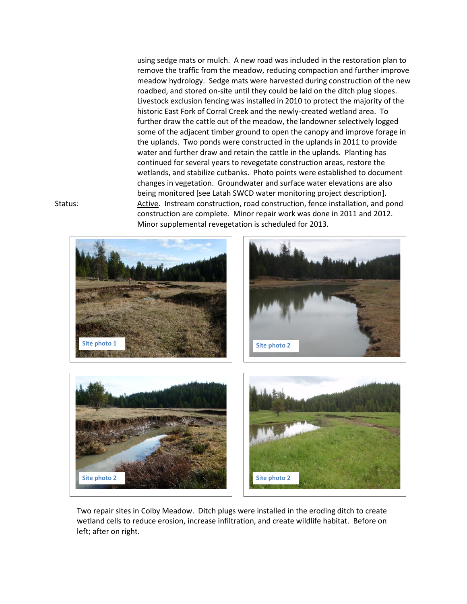using sedge mats or mulch. A new road was included in the restoration plan to remove the traffic from the meadow, reducing compaction and further improve meadow hydrology. Sedge mats were harvested during construction of the new roadbed, and stored on-site until they could be laid on the ditch plug slopes. Livestock exclusion fencing was installed in 2010 to protect the majority of the historic East Fork of Corral Creek and the newly-created wetland area. To further draw the cattle out of the meadow, the landowner selectively logged some of the adjacent timber ground to open the canopy and improve forage in the uplands. Two ponds were constructed in the uplands in 2011 to provide water and further draw and retain the cattle in the uplands. Planting has continued for several years to revegetate construction areas, restore the wetlands, and stabilize cutbanks. Photo points were established to document changes in vegetation. Groundwater and surface water elevations are also being monitored [see Latah SWCD water monitoring project description]. Status: Active. Instream construction, road construction, fence installation, and pond construction are complete. Minor repair work was done in 2011 and 2012. Minor supplemental revegetation is scheduled for 2013.



Two repair sites in Colby Meadow. Ditch plugs were installed in the eroding ditch to create wetland cells to reduce erosion, increase infiltration, and create wildlife habitat. Before on left; after on right.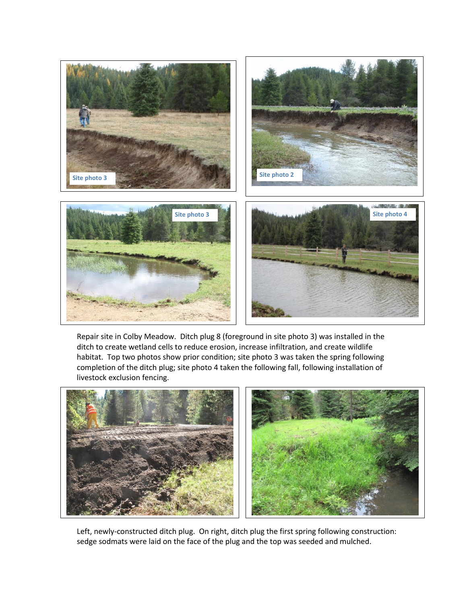

Repair site in Colby Meadow. Ditch plug 8 (foreground in site photo 3) was installed in the ditch to create wetland cells to reduce erosion, increase infiltration, and create wildlife habitat. Top two photos show prior condition; site photo 3 was taken the spring following completion of the ditch plug; site photo 4 taken the following fall, following installation of livestock exclusion fencing.



Left, newly-constructed ditch plug. On right, ditch plug the first spring following construction: sedge sodmats were laid on the face of the plug and the top was seeded and mulched.